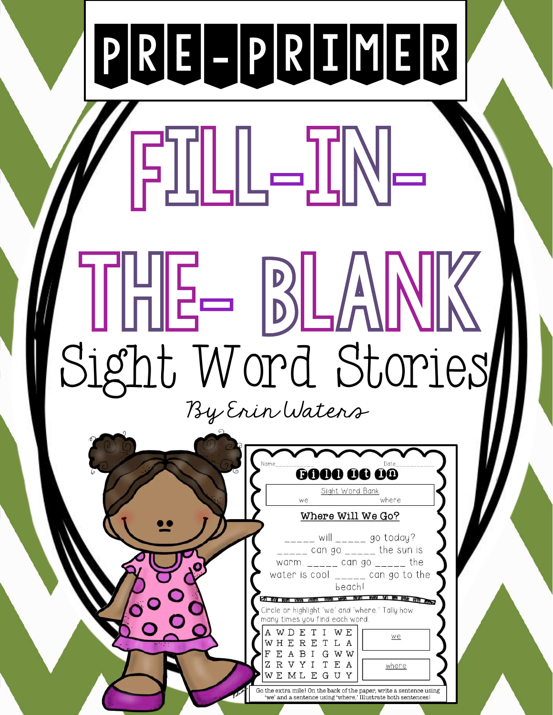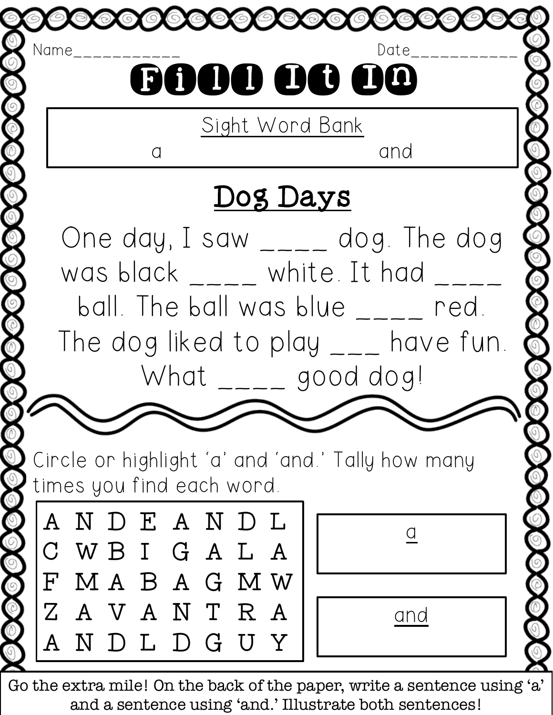

Go the extra mile! On the back of the paper, write a sentence using 'a' and a sentence using 'and.' Illustrate both sentences!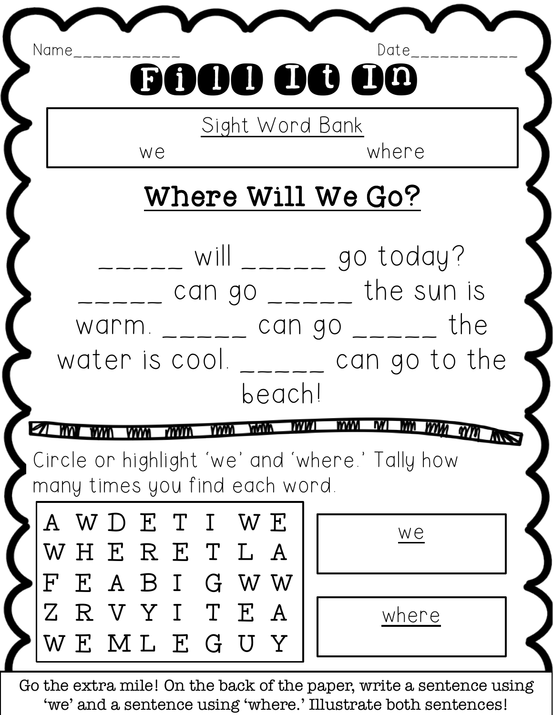| Name<br>Date<br>6000 OO OO                                                                                                                                                                        |       |
|---------------------------------------------------------------------------------------------------------------------------------------------------------------------------------------------------|-------|
| Sight Word Bank<br>where<br>we                                                                                                                                                                    |       |
| Where Will We Go?                                                                                                                                                                                 |       |
| will $\frac{1}{2}$ = $\frac{1}{2}$ go today?<br>can go $\frac{1}{1}$ can go $\frac{1}{1}$ the sun is<br>warm $_{---}$ can go $_{---}$ the<br>water is cool. $\frac{1}{2}$ can go to the<br>beach! |       |
| M<br>mm<br><b>IW</b><br><b>MWW</b><br>mm<br>mm<br>Cincle on highlight 'we' and 'whene.' Tally how                                                                                                 |       |
| many times you find each word.                                                                                                                                                                    |       |
| A W D E T I W E<br>WHERETLA                                                                                                                                                                       | we    |
| F E A B I G W W<br>ZRVYITEA                                                                                                                                                                       |       |
| WEMLEGUY                                                                                                                                                                                          | where |

Go the extra mile! On the back of the paper, write a sentence using 'we' and a sentence using 'where.' Illustrate both sentences!